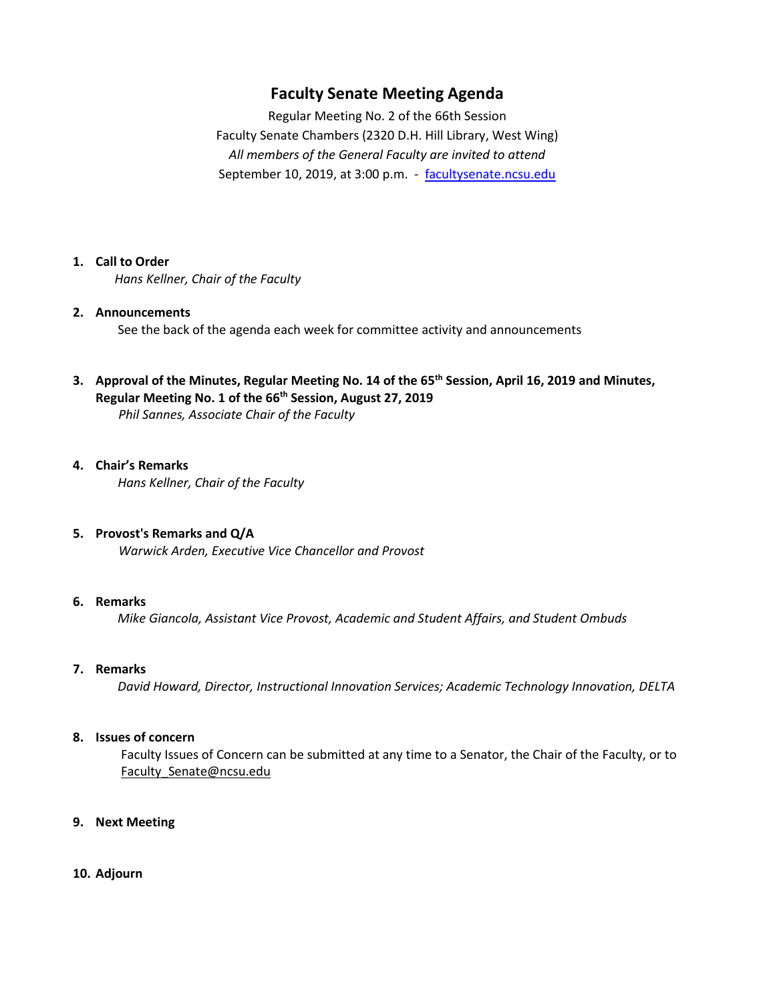# **Faculty Senate Meeting Agenda**

Regular Meeting No. 2 of the 66th Session Faculty Senate Chambers (2320 D.H. Hill Library, West Wing) *All members of the General Faculty are invited to attend* September 10, 2019, at 3:00 p.m. - [facultysenate.ncsu.edu](https://facultysenate.ncsu.edu/)

## **1. Call to Order**

*Hans Kellner, Chair of the Faculty*

# **2. Announcements**

See the back of the agenda each week for committee activity and announcements

# **3. Approval of the Minutes, Regular Meeting No. 14 of the 65th Session, April 16, 2019 and Minutes, Regular Meeting No. 1 of the 66th Session, August 27, 2019**

*Phil Sannes, Associate Chair of the Faculty*

## **4. Chair's Remarks**

 *Hans Kellner, Chair of the Faculty*

## **5. Provost's Remarks and Q/A**

*Warwick Arden, Executive Vice Chancellor and Provost*

## **6. Remarks**

*Mike Giancola, Assistant Vice Provost, Academic and Student Affairs, and Student Ombuds*

#### **7. Remarks**

*David Howard, Director, Instructional Innovation Services; Academic Technology Innovation, DELTA*

#### **8. Issues of concern**

 Faculty Issues of Concern can be submitted at any time to a Senator, the Chair of the Faculty, or to Faculty Senate@ncsu.edu

#### **9. Next Meeting**

#### **10. Adjourn**